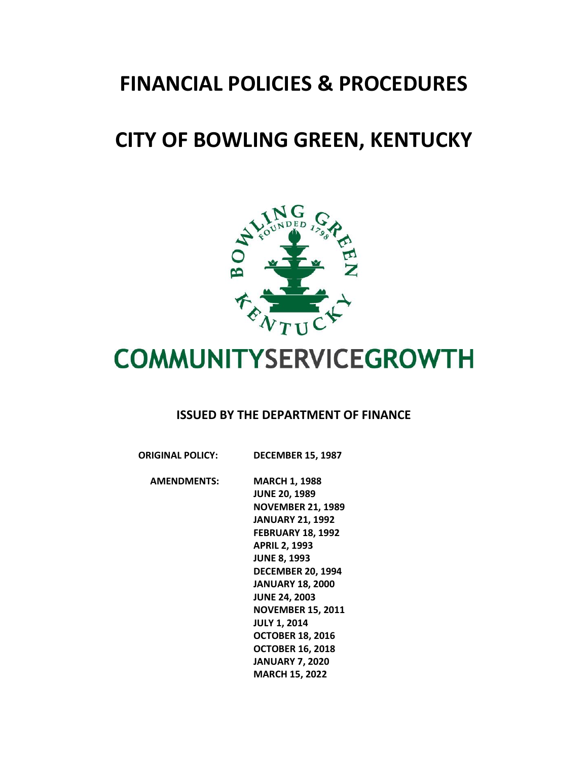## **FINANCIAL POLICIES & PROCEDURES**

## **CITY OF BOWLING GREEN, KENTUCKY**



# **COMMUNITYSERVICEGROWTH**

#### **ISSUED BY THE DEPARTMENT OF FINANCE**

| <b>ORIGINAL POLICY:</b> | <b>DECEMBER 15, 1987</b> |
|-------------------------|--------------------------|
|                         |                          |

 **AMENDMENTS: MARCH 1, 1988 JUNE 20, 1989 NOVEMBER 21, 1989 JANUARY 21, 1992 FEBRUARY 18, 1992 APRIL 2, 1993 JUNE 8, 1993 DECEMBER 20, 1994 JANUARY 18, 2000 JUNE 24, 2003 NOVEMBER 15, 2011 JULY 1, 2014 OCTOBER 18, 2016 OCTOBER 16, 2018 JANUARY 7, 2020 MARCH 15, 2022**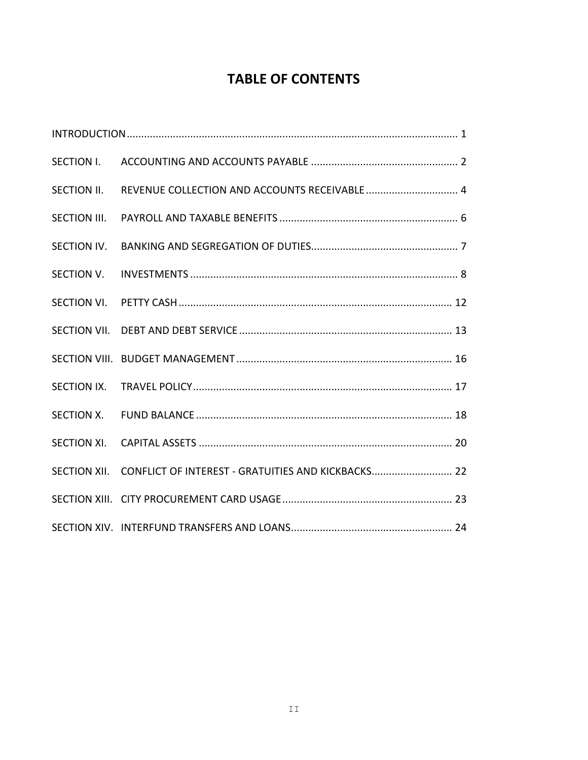### **TABLE OF CONTENTS**

| SECTION I.          |                                                    |
|---------------------|----------------------------------------------------|
| SECTION II.         | REVENUE COLLECTION AND ACCOUNTS RECEIVABLE  4      |
|                     |                                                    |
| SECTION IV.         |                                                    |
| SECTION V.          |                                                    |
| SECTION VI.         |                                                    |
| <b>SECTION VII.</b> |                                                    |
|                     |                                                    |
| SECTION IX.         |                                                    |
|                     |                                                    |
| <b>SECTION XI.</b>  |                                                    |
| SECTION XII.        | CONFLICT OF INTEREST - GRATUITIES AND KICKBACKS 22 |
|                     |                                                    |
|                     |                                                    |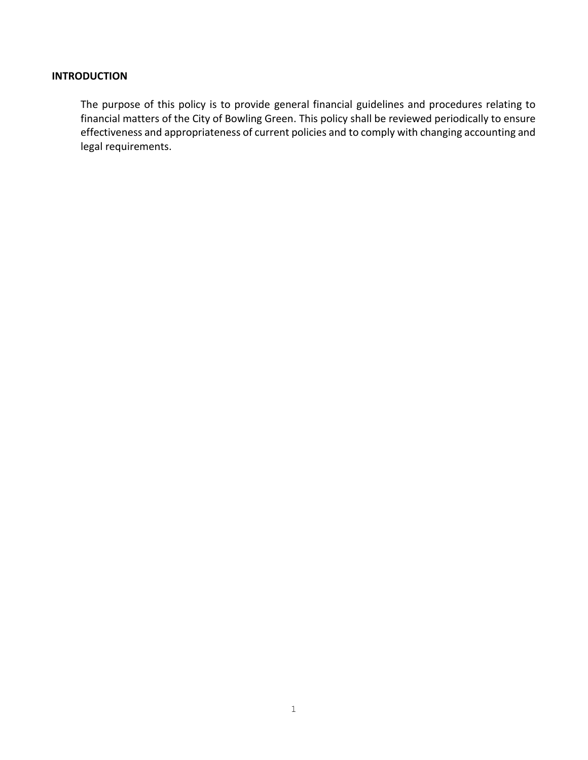#### **INTRODUCTION**

The purpose of this policy is to provide general financial guidelines and procedures relating to financial matters of the City of Bowling Green. This policy shall be reviewed periodically to ensure effectiveness and appropriateness of current policies and to comply with changing accounting and legal requirements.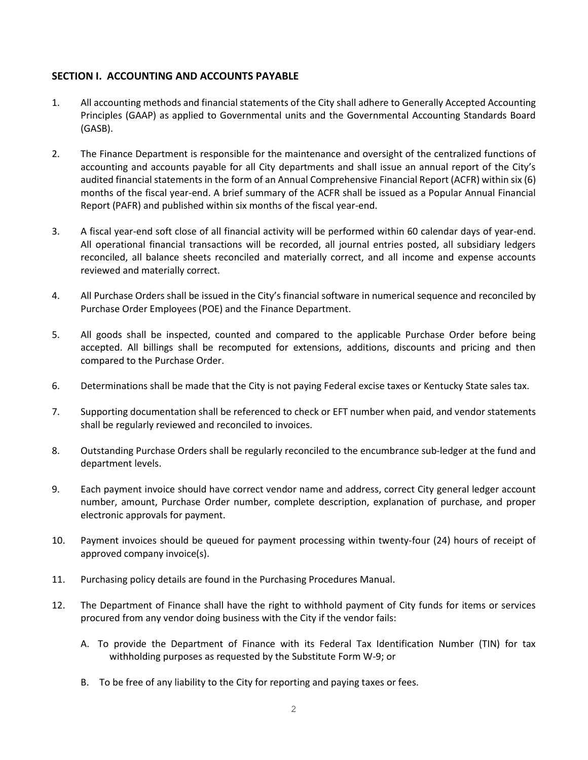#### **SECTION I. ACCOUNTING AND ACCOUNTS PAYABLE**

- 1. All accounting methods and financial statements of the City shall adhere to Generally Accepted Accounting Principles (GAAP) as applied to Governmental units and the Governmental Accounting Standards Board (GASB).
- 2. The Finance Department is responsible for the maintenance and oversight of the centralized functions of accounting and accounts payable for all City departments and shall issue an annual report of the City's audited financial statements in the form of an Annual Comprehensive Financial Report (ACFR) within six (6) months of the fiscal year-end. A brief summary of the ACFR shall be issued as a Popular Annual Financial Report (PAFR) and published within six months of the fiscal year-end.
- 3. A fiscal year-end soft close of all financial activity will be performed within 60 calendar days of year-end. All operational financial transactions will be recorded, all journal entries posted, all subsidiary ledgers reconciled, all balance sheets reconciled and materially correct, and all income and expense accounts reviewed and materially correct.
- 4. All Purchase Orders shall be issued in the City's financial software in numerical sequence and reconciled by Purchase Order Employees (POE) and the Finance Department.
- 5. All goods shall be inspected, counted and compared to the applicable Purchase Order before being accepted. All billings shall be recomputed for extensions, additions, discounts and pricing and then compared to the Purchase Order.
- 6. Determinations shall be made that the City is not paying Federal excise taxes or Kentucky State sales tax.
- 7. Supporting documentation shall be referenced to check or EFT number when paid, and vendor statements shall be regularly reviewed and reconciled to invoices.
- 8. Outstanding Purchase Orders shall be regularly reconciled to the encumbrance sub-ledger at the fund and department levels.
- 9. Each payment invoice should have correct vendor name and address, correct City general ledger account number, amount, Purchase Order number, complete description, explanation of purchase, and proper electronic approvals for payment.
- 10. Payment invoices should be queued for payment processing within twenty-four (24) hours of receipt of approved company invoice(s).
- 11. Purchasing policy details are found in the Purchasing Procedures Manual.
- 12. The Department of Finance shall have the right to withhold payment of City funds for items or services procured from any vendor doing business with the City if the vendor fails:
	- A. To provide the Department of Finance with its Federal Tax Identification Number (TIN) for tax withholding purposes as requested by the Substitute Form W-9; or
	- B. To be free of any liability to the City for reporting and paying taxes or fees.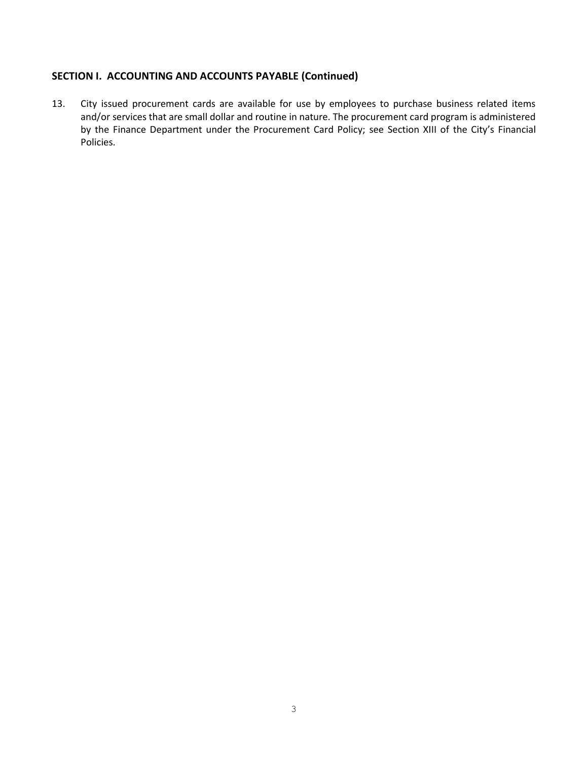#### **SECTION I. ACCOUNTING AND ACCOUNTS PAYABLE (Continued)**

13. City issued procurement cards are available for use by employees to purchase business related items and/or services that are small dollar and routine in nature. The procurement card program is administered by the Finance Department under the Procurement Card Policy; see Section XIII of the City's Financial Policies.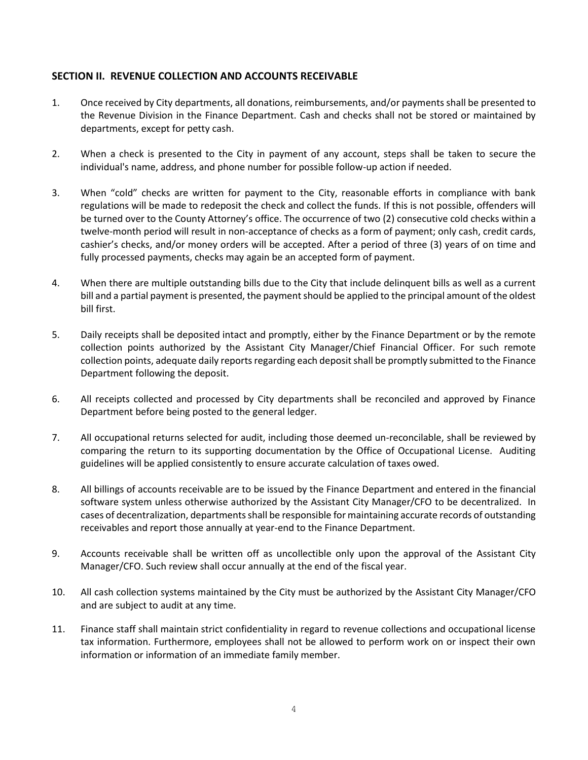#### **SECTION II. REVENUE COLLECTION AND ACCOUNTS RECEIVABLE**

- 1. Once received by City departments, all donations, reimbursements, and/or payments shall be presented to the Revenue Division in the Finance Department. Cash and checks shall not be stored or maintained by departments, except for petty cash.
- 2. When a check is presented to the City in payment of any account, steps shall be taken to secure the individual's name, address, and phone number for possible follow-up action if needed.
- 3. When "cold" checks are written for payment to the City, reasonable efforts in compliance with bank regulations will be made to redeposit the check and collect the funds. If this is not possible, offenders will be turned over to the County Attorney's office. The occurrence of two (2) consecutive cold checks within a twelve-month period will result in non-acceptance of checks as a form of payment; only cash, credit cards, cashier's checks, and/or money orders will be accepted. After a period of three (3) years of on time and fully processed payments, checks may again be an accepted form of payment.
- 4. When there are multiple outstanding bills due to the City that include delinquent bills as well as a current bill and a partial payment is presented, the payment should be applied to the principal amount of the oldest bill first.
- 5. Daily receipts shall be deposited intact and promptly, either by the Finance Department or by the remote collection points authorized by the Assistant City Manager/Chief Financial Officer. For such remote collection points, adequate daily reports regarding each deposit shall be promptly submitted to the Finance Department following the deposit.
- 6. All receipts collected and processed by City departments shall be reconciled and approved by Finance Department before being posted to the general ledger.
- 7. All occupational returns selected for audit, including those deemed un-reconcilable, shall be reviewed by comparing the return to its supporting documentation by the Office of Occupational License. Auditing guidelines will be applied consistently to ensure accurate calculation of taxes owed.
- 8. All billings of accounts receivable are to be issued by the Finance Department and entered in the financial software system unless otherwise authorized by the Assistant City Manager/CFO to be decentralized. In cases of decentralization, departments shall be responsible for maintaining accurate records of outstanding receivables and report those annually at year-end to the Finance Department.
- 9. Accounts receivable shall be written off as uncollectible only upon the approval of the Assistant City Manager/CFO. Such review shall occur annually at the end of the fiscal year.
- 10. All cash collection systems maintained by the City must be authorized by the Assistant City Manager/CFO and are subject to audit at any time.
- 11. Finance staff shall maintain strict confidentiality in regard to revenue collections and occupational license tax information. Furthermore, employees shall not be allowed to perform work on or inspect their own information or information of an immediate family member.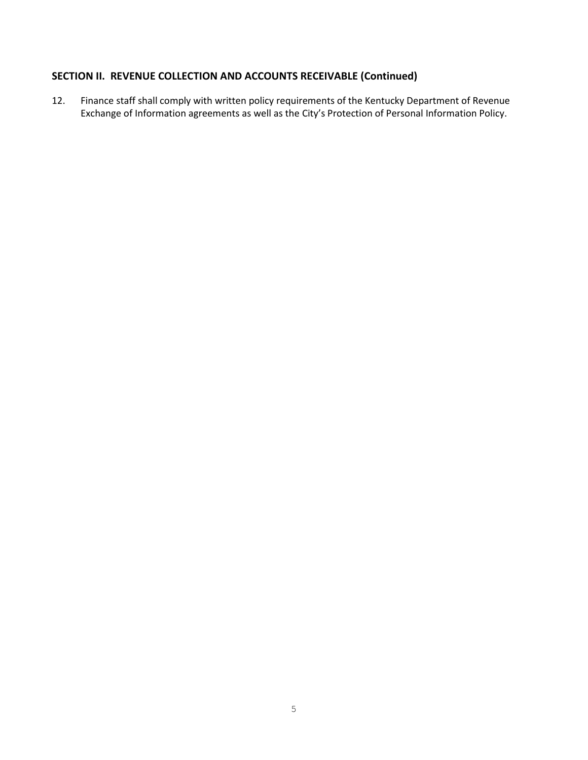#### **SECTION II. REVENUE COLLECTION AND ACCOUNTS RECEIVABLE (Continued)**

12. Finance staff shall comply with written policy requirements of the Kentucky Department of Revenue Exchange of Information agreements as well as the City's Protection of Personal Information Policy.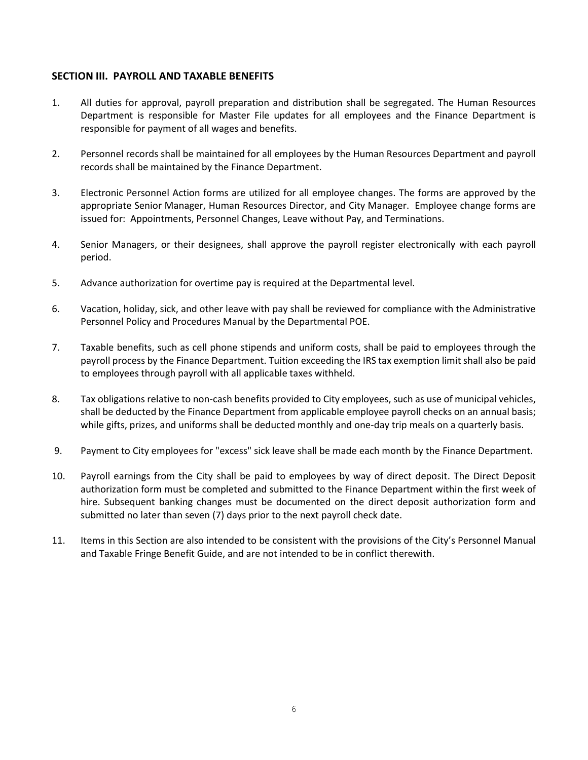#### **SECTION III. PAYROLL AND TAXABLE BENEFITS**

- 1. All duties for approval, payroll preparation and distribution shall be segregated. The Human Resources Department is responsible for Master File updates for all employees and the Finance Department is responsible for payment of all wages and benefits.
- 2. Personnel records shall be maintained for all employees by the Human Resources Department and payroll records shall be maintained by the Finance Department.
- 3. Electronic Personnel Action forms are utilized for all employee changes. The forms are approved by the appropriate Senior Manager, Human Resources Director, and City Manager. Employee change forms are issued for: Appointments, Personnel Changes, Leave without Pay, and Terminations.
- 4. Senior Managers, or their designees, shall approve the payroll register electronically with each payroll period.
- 5. Advance authorization for overtime pay is required at the Departmental level.
- 6. Vacation, holiday, sick, and other leave with pay shall be reviewed for compliance with the Administrative Personnel Policy and Procedures Manual by the Departmental POE.
- 7. Taxable benefits, such as cell phone stipends and uniform costs, shall be paid to employees through the payroll process by the Finance Department. Tuition exceeding the IRS tax exemption limit shall also be paid to employees through payroll with all applicable taxes withheld.
- 8. Tax obligations relative to non-cash benefits provided to City employees, such as use of municipal vehicles, shall be deducted by the Finance Department from applicable employee payroll checks on an annual basis; while gifts, prizes, and uniforms shall be deducted monthly and one-day trip meals on a quarterly basis.
- 9. Payment to City employees for "excess" sick leave shall be made each month by the Finance Department.
- 10. Payroll earnings from the City shall be paid to employees by way of direct deposit. The Direct Deposit authorization form must be completed and submitted to the Finance Department within the first week of hire. Subsequent banking changes must be documented on the direct deposit authorization form and submitted no later than seven (7) days prior to the next payroll check date.
- 11. Items in this Section are also intended to be consistent with the provisions of the City's Personnel Manual and Taxable Fringe Benefit Guide, and are not intended to be in conflict therewith.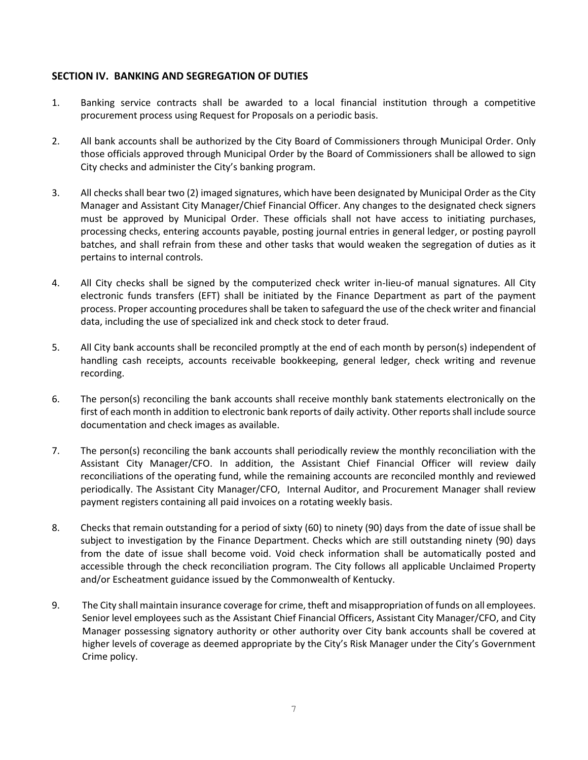#### **SECTION IV. BANKING AND SEGREGATION OF DUTIES**

- 1. Banking service contracts shall be awarded to a local financial institution through a competitive procurement process using Request for Proposals on a periodic basis.
- 2. All bank accounts shall be authorized by the City Board of Commissioners through Municipal Order. Only those officials approved through Municipal Order by the Board of Commissioners shall be allowed to sign City checks and administer the City's banking program.
- 3. All checks shall bear two (2) imaged signatures, which have been designated by Municipal Order as the City Manager and Assistant City Manager/Chief Financial Officer. Any changes to the designated check signers must be approved by Municipal Order. These officials shall not have access to initiating purchases, processing checks, entering accounts payable, posting journal entries in general ledger, or posting payroll batches, and shall refrain from these and other tasks that would weaken the segregation of duties as it pertains to internal controls.
- 4. All City checks shall be signed by the computerized check writer in-lieu-of manual signatures. All City electronic funds transfers (EFT) shall be initiated by the Finance Department as part of the payment process. Proper accounting procedures shall be taken to safeguard the use of the check writer and financial data, including the use of specialized ink and check stock to deter fraud.
- 5. All City bank accounts shall be reconciled promptly at the end of each month by person(s) independent of handling cash receipts, accounts receivable bookkeeping, general ledger, check writing and revenue recording.
- 6. The person(s) reconciling the bank accounts shall receive monthly bank statements electronically on the first of each month in addition to electronic bank reports of daily activity. Other reports shall include source documentation and check images as available.
- 7. The person(s) reconciling the bank accounts shall periodically review the monthly reconciliation with the Assistant City Manager/CFO. In addition, the Assistant Chief Financial Officer will review daily reconciliations of the operating fund, while the remaining accounts are reconciled monthly and reviewed periodically. The Assistant City Manager/CFO, Internal Auditor, and Procurement Manager shall review payment registers containing all paid invoices on a rotating weekly basis.
- 8. Checks that remain outstanding for a period of sixty (60) to ninety (90) days from the date of issue shall be subject to investigation by the Finance Department. Checks which are still outstanding ninety (90) days from the date of issue shall become void. Void check information shall be automatically posted and accessible through the check reconciliation program. The City follows all applicable Unclaimed Property and/or Escheatment guidance issued by the Commonwealth of Kentucky.
- 9. The City shall maintain insurance coverage for crime, theft and misappropriation of funds on all employees. Senior level employees such as the Assistant Chief Financial Officers, Assistant City Manager/CFO, and City Manager possessing signatory authority or other authority over City bank accounts shall be covered at higher levels of coverage as deemed appropriate by the City's Risk Manager under the City's Government Crime policy.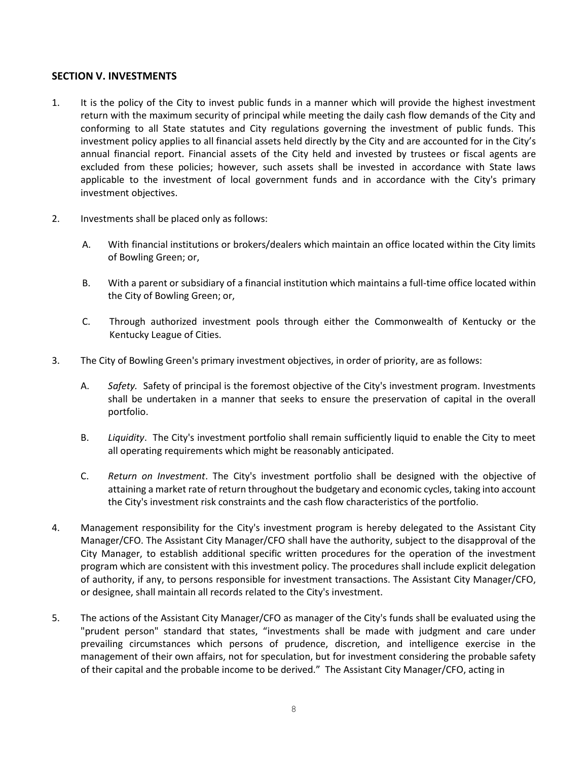#### **SECTION V. INVESTMENTS**

- 1. It is the policy of the City to invest public funds in a manner which will provide the highest investment return with the maximum security of principal while meeting the daily cash flow demands of the City and conforming to all State statutes and City regulations governing the investment of public funds. This investment policy applies to all financial assets held directly by the City and are accounted for in the City's annual financial report. Financial assets of the City held and invested by trustees or fiscal agents are excluded from these policies; however, such assets shall be invested in accordance with State laws applicable to the investment of local government funds and in accordance with the City's primary investment objectives.
- 2. Investments shall be placed only as follows:
	- A. With financial institutions or brokers/dealers which maintain an office located within the City limits of Bowling Green; or,
	- B. With a parent or subsidiary of a financial institution which maintains a full-time office located within the City of Bowling Green; or,
	- C. Through authorized investment pools through either the Commonwealth of Kentucky or the Kentucky League of Cities.
- 3. The City of Bowling Green's primary investment objectives, in order of priority, are as follows:
	- A. *Safety.* Safety of principal is the foremost objective of the City's investment program. Investments shall be undertaken in a manner that seeks to ensure the preservation of capital in the overall portfolio.
	- B. *Liquidity*. The City's investment portfolio shall remain sufficiently liquid to enable the City to meet all operating requirements which might be reasonably anticipated.
	- C. *Return on Investment*. The City's investment portfolio shall be designed with the objective of attaining a market rate of return throughout the budgetary and economic cycles, taking into account the City's investment risk constraints and the cash flow characteristics of the portfolio.
- 4. Management responsibility for the City's investment program is hereby delegated to the Assistant City Manager/CFO. The Assistant City Manager/CFO shall have the authority, subject to the disapproval of the City Manager, to establish additional specific written procedures for the operation of the investment program which are consistent with this investment policy. The procedures shall include explicit delegation of authority, if any, to persons responsible for investment transactions. The Assistant City Manager/CFO, or designee, shall maintain all records related to the City's investment.
- 5. The actions of the Assistant City Manager/CFO as manager of the City's funds shall be evaluated using the "prudent person" standard that states, "investments shall be made with judgment and care under prevailing circumstances which persons of prudence, discretion, and intelligence exercise in the management of their own affairs, not for speculation, but for investment considering the probable safety of their capital and the probable income to be derived." The Assistant City Manager/CFO, acting in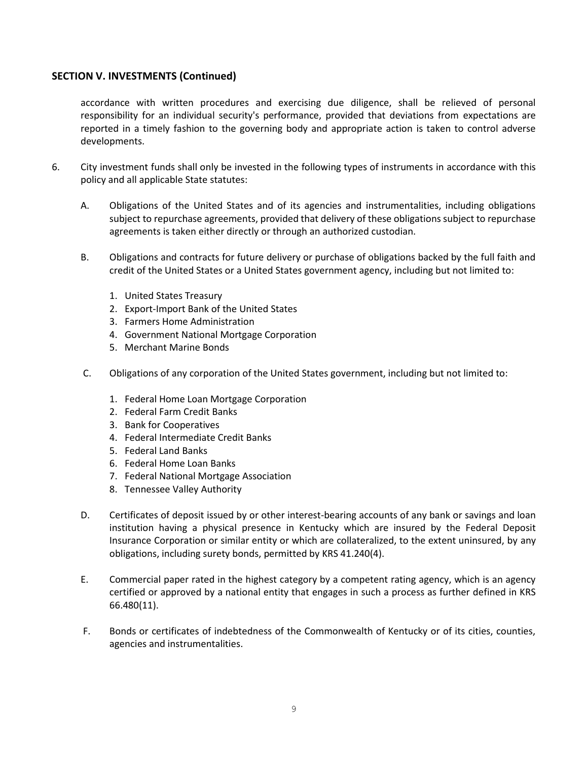#### **SECTION V. INVESTMENTS (Continued)**

accordance with written procedures and exercising due diligence, shall be relieved of personal responsibility for an individual security's performance, provided that deviations from expectations are reported in a timely fashion to the governing body and appropriate action is taken to control adverse developments.

- 6. City investment funds shall only be invested in the following types of instruments in accordance with this policy and all applicable State statutes:
	- A. Obligations of the United States and of its agencies and instrumentalities, including obligations subject to repurchase agreements, provided that delivery of these obligations subject to repurchase agreements is taken either directly or through an authorized custodian.
	- B. Obligations and contracts for future delivery or purchase of obligations backed by the full faith and credit of the United States or a United States government agency, including but not limited to:
		- 1. United States Treasury
		- 2. Export-Import Bank of the United States
		- 3. Farmers Home Administration
		- 4. Government National Mortgage Corporation
		- 5. Merchant Marine Bonds
	- C. Obligations of any corporation of the United States government, including but not limited to:
		- 1. Federal Home Loan Mortgage Corporation
		- 2. Federal Farm Credit Banks
		- 3. Bank for Cooperatives
		- 4. Federal Intermediate Credit Banks
		- 5. Federal Land Banks
		- 6. Federal Home Loan Banks
		- 7. Federal National Mortgage Association
		- 8. Tennessee Valley Authority
	- D. Certificates of deposit issued by or other interest-bearing accounts of any bank or savings and loan institution having a physical presence in Kentucky which are insured by the Federal Deposit Insurance Corporation or similar entity or which are collateralized, to the extent uninsured, by any obligations, including surety bonds, permitted by KRS 41.240(4).
	- E. Commercial paper rated in the highest category by a competent rating agency, which is an agency certified or approved by a national entity that engages in such a process as further defined in KRS 66.480(11).
	- F. Bonds or certificates of indebtedness of the Commonwealth of Kentucky or of its cities, counties, agencies and instrumentalities.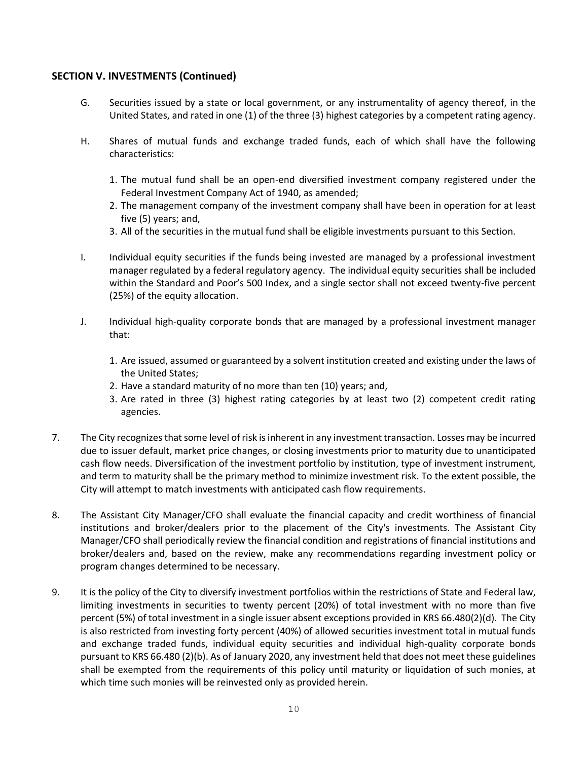#### **SECTION V. INVESTMENTS (Continued)**

- G. Securities issued by a state or local government, or any instrumentality of agency thereof, in the United States, and rated in one (1) of the three (3) highest categories by a competent rating agency.
- H. Shares of mutual funds and exchange traded funds, each of which shall have the following characteristics:
	- 1. The mutual fund shall be an open-end diversified investment company registered under the Federal Investment Company Act of 1940, as amended;
	- 2. The management company of the investment company shall have been in operation for at least five (5) years; and,
	- 3. All of the securities in the mutual fund shall be eligible investments pursuant to this Section.
- I. Individual equity securities if the funds being invested are managed by a professional investment manager regulated by a federal regulatory agency. The individual equity securities shall be included within the Standard and Poor's 500 Index, and a single sector shall not exceed twenty-five percent (25%) of the equity allocation.
- J. Individual high-quality corporate bonds that are managed by a professional investment manager that:
	- 1. Are issued, assumed or guaranteed by a solvent institution created and existing under the laws of the United States;
	- 2. Have a standard maturity of no more than ten (10) years; and,
	- 3. Are rated in three (3) highest rating categories by at least two (2) competent credit rating agencies.
- 7. The City recognizes that some level of risk is inherent in any investment transaction. Losses may be incurred due to issuer default, market price changes, or closing investments prior to maturity due to unanticipated cash flow needs. Diversification of the investment portfolio by institution, type of investment instrument, and term to maturity shall be the primary method to minimize investment risk. To the extent possible, the City will attempt to match investments with anticipated cash flow requirements.
- 8. The Assistant City Manager/CFO shall evaluate the financial capacity and credit worthiness of financial institutions and broker/dealers prior to the placement of the City's investments. The Assistant City Manager/CFO shall periodically review the financial condition and registrations of financial institutions and broker/dealers and, based on the review, make any recommendations regarding investment policy or program changes determined to be necessary.
- 9. It is the policy of the City to diversify investment portfolios within the restrictions of State and Federal law, limiting investments in securities to twenty percent (20%) of total investment with no more than five percent (5%) of total investment in a single issuer absent exceptions provided in KRS 66.480(2)(d). The City is also restricted from investing forty percent (40%) of allowed securities investment total in mutual funds and exchange traded funds, individual equity securities and individual high-quality corporate bonds pursuant to KRS 66.480 (2)(b). As of January 2020, any investment held that does not meet these guidelines shall be exempted from the requirements of this policy until maturity or liquidation of such monies, at which time such monies will be reinvested only as provided herein.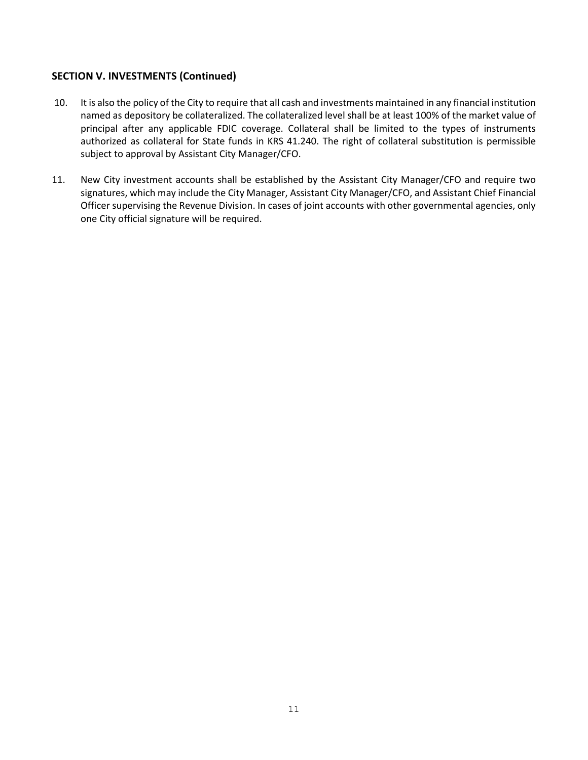#### **SECTION V. INVESTMENTS (Continued)**

- 10. It is also the policy of the City to require that all cash and investments maintained in any financial institution named as depository be collateralized. The collateralized level shall be at least 100% of the market value of principal after any applicable FDIC coverage. Collateral shall be limited to the types of instruments authorized as collateral for State funds in KRS 41.240. The right of collateral substitution is permissible subject to approval by Assistant City Manager/CFO.
- 11. New City investment accounts shall be established by the Assistant City Manager/CFO and require two signatures, which may include the City Manager, Assistant City Manager/CFO, and Assistant Chief Financial Officer supervising the Revenue Division. In cases of joint accounts with other governmental agencies, only one City official signature will be required.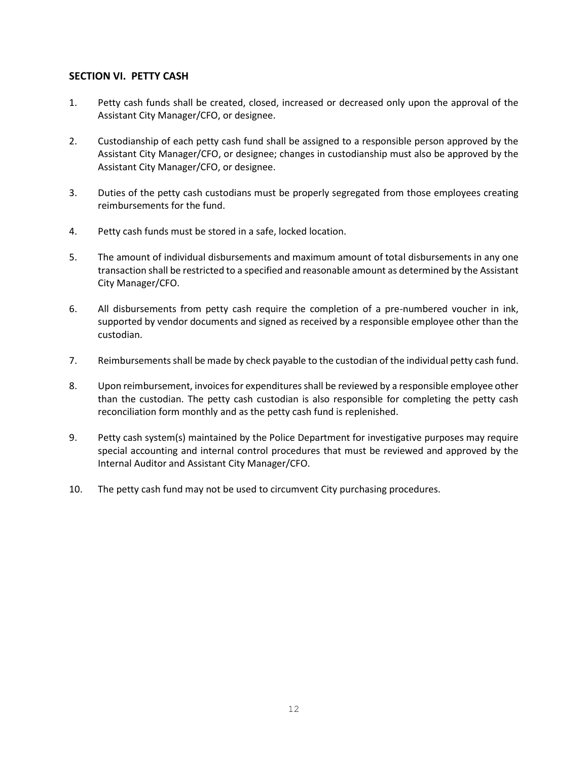#### **SECTION VI. PETTY CASH**

- 1. Petty cash funds shall be created, closed, increased or decreased only upon the approval of the Assistant City Manager/CFO, or designee.
- 2. Custodianship of each petty cash fund shall be assigned to a responsible person approved by the Assistant City Manager/CFO, or designee; changes in custodianship must also be approved by the Assistant City Manager/CFO, or designee.
- 3. Duties of the petty cash custodians must be properly segregated from those employees creating reimbursements for the fund.
- 4. Petty cash funds must be stored in a safe, locked location.
- 5. The amount of individual disbursements and maximum amount of total disbursements in any one transaction shall be restricted to a specified and reasonable amount as determined by the Assistant City Manager/CFO.
- 6. All disbursements from petty cash require the completion of a pre-numbered voucher in ink, supported by vendor documents and signed as received by a responsible employee other than the custodian.
- 7. Reimbursements shall be made by check payable to the custodian of the individual petty cash fund.
- 8. Upon reimbursement, invoices for expenditures shall be reviewed by a responsible employee other than the custodian. The petty cash custodian is also responsible for completing the petty cash reconciliation form monthly and as the petty cash fund is replenished.
- 9. Petty cash system(s) maintained by the Police Department for investigative purposes may require special accounting and internal control procedures that must be reviewed and approved by the Internal Auditor and Assistant City Manager/CFO.
- 10. The petty cash fund may not be used to circumvent City purchasing procedures.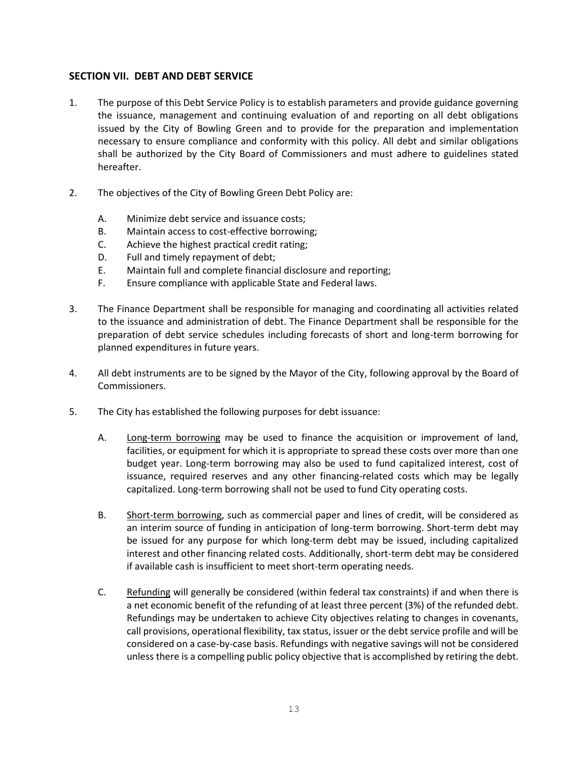#### **SECTION VII. DEBT AND DEBT SERVICE**

- 1. The purpose of this Debt Service Policy is to establish parameters and provide guidance governing the issuance, management and continuing evaluation of and reporting on all debt obligations issued by the City of Bowling Green and to provide for the preparation and implementation necessary to ensure compliance and conformity with this policy. All debt and similar obligations shall be authorized by the City Board of Commissioners and must adhere to guidelines stated hereafter.
- 2. The objectives of the City of Bowling Green Debt Policy are:
	- A. Minimize debt service and issuance costs;
	- B. Maintain access to cost-effective borrowing;
	- C. Achieve the highest practical credit rating;
	- D. Full and timely repayment of debt;
	- E. Maintain full and complete financial disclosure and reporting;
	- F. Ensure compliance with applicable State and Federal laws.
- 3. The Finance Department shall be responsible for managing and coordinating all activities related to the issuance and administration of debt. The Finance Department shall be responsible for the preparation of debt service schedules including forecasts of short and long-term borrowing for planned expenditures in future years.
- 4. All debt instruments are to be signed by the Mayor of the City, following approval by the Board of Commissioners.
- 5. The City has established the following purposes for debt issuance:
	- A. Long-term borrowing may be used to finance the acquisition or improvement of land, facilities, or equipment for which it is appropriate to spread these costs over more than one budget year. Long-term borrowing may also be used to fund capitalized interest, cost of issuance, required reserves and any other financing-related costs which may be legally capitalized. Long-term borrowing shall not be used to fund City operating costs.
	- B. Short-term borrowing, such as commercial paper and lines of credit, will be considered as an interim source of funding in anticipation of long-term borrowing. Short-term debt may be issued for any purpose for which long-term debt may be issued, including capitalized interest and other financing related costs. Additionally, short-term debt may be considered if available cash is insufficient to meet short-term operating needs.
	- C. Refunding will generally be considered (within federal tax constraints) if and when there is a net economic benefit of the refunding of at least three percent (3%) of the refunded debt. Refundings may be undertaken to achieve City objectives relating to changes in covenants, call provisions, operational flexibility, tax status, issuer or the debt service profile and will be considered on a case-by-case basis. Refundings with negative savings will not be considered unless there is a compelling public policy objective that is accomplished by retiring the debt.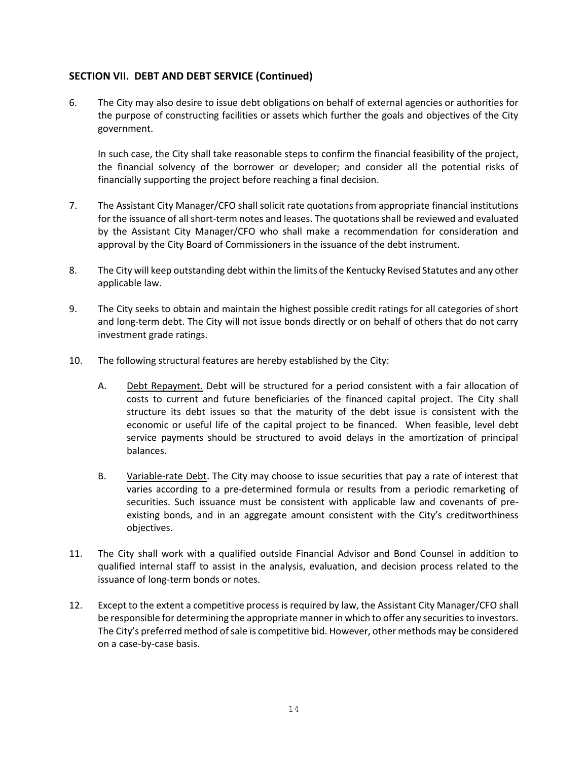#### **SECTION VII. DEBT AND DEBT SERVICE (Continued)**

6. The City may also desire to issue debt obligations on behalf of external agencies or authorities for the purpose of constructing facilities or assets which further the goals and objectives of the City government.

In such case, the City shall take reasonable steps to confirm the financial feasibility of the project, the financial solvency of the borrower or developer; and consider all the potential risks of financially supporting the project before reaching a final decision.

- 7. The Assistant City Manager/CFO shall solicit rate quotations from appropriate financial institutions for the issuance of all short-term notes and leases. The quotations shall be reviewed and evaluated by the Assistant City Manager/CFO who shall make a recommendation for consideration and approval by the City Board of Commissioners in the issuance of the debt instrument.
- 8. The City will keep outstanding debt within the limits of the Kentucky Revised Statutes and any other applicable law.
- 9. The City seeks to obtain and maintain the highest possible credit ratings for all categories of short and long-term debt. The City will not issue bonds directly or on behalf of others that do not carry investment grade ratings.
- 10. The following structural features are hereby established by the City:
	- A. Debt Repayment. Debt will be structured for a period consistent with a fair allocation of costs to current and future beneficiaries of the financed capital project. The City shall structure its debt issues so that the maturity of the debt issue is consistent with the economic or useful life of the capital project to be financed. When feasible, level debt service payments should be structured to avoid delays in the amortization of principal balances.
	- B. Variable-rate Debt. The City may choose to issue securities that pay a rate of interest that varies according to a pre-determined formula or results from a periodic remarketing of securities. Such issuance must be consistent with applicable law and covenants of preexisting bonds, and in an aggregate amount consistent with the City's creditworthiness objectives.
- 11. The City shall work with a qualified outside Financial Advisor and Bond Counsel in addition to qualified internal staff to assist in the analysis, evaluation, and decision process related to the issuance of long-term bonds or notes.
- 12. Except to the extent a competitive process is required by law, the Assistant City Manager/CFO shall be responsible for determining the appropriate manner in which to offer any securities to investors. The City's preferred method of sale is competitive bid. However, other methods may be considered on a case-by-case basis.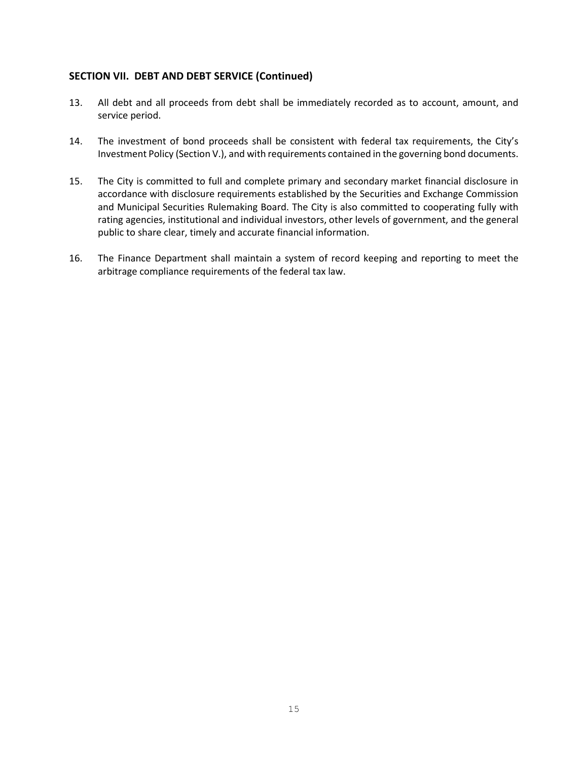#### **SECTION VII. DEBT AND DEBT SERVICE (Continued)**

- 13. All debt and all proceeds from debt shall be immediately recorded as to account, amount, and service period.
- 14. The investment of bond proceeds shall be consistent with federal tax requirements, the City's Investment Policy (Section V.), and with requirements contained in the governing bond documents.
- 15. The City is committed to full and complete primary and secondary market financial disclosure in accordance with disclosure requirements established by the Securities and Exchange Commission and Municipal Securities Rulemaking Board. The City is also committed to cooperating fully with rating agencies, institutional and individual investors, other levels of government, and the general public to share clear, timely and accurate financial information.
- 16. The Finance Department shall maintain a system of record keeping and reporting to meet the arbitrage compliance requirements of the federal tax law.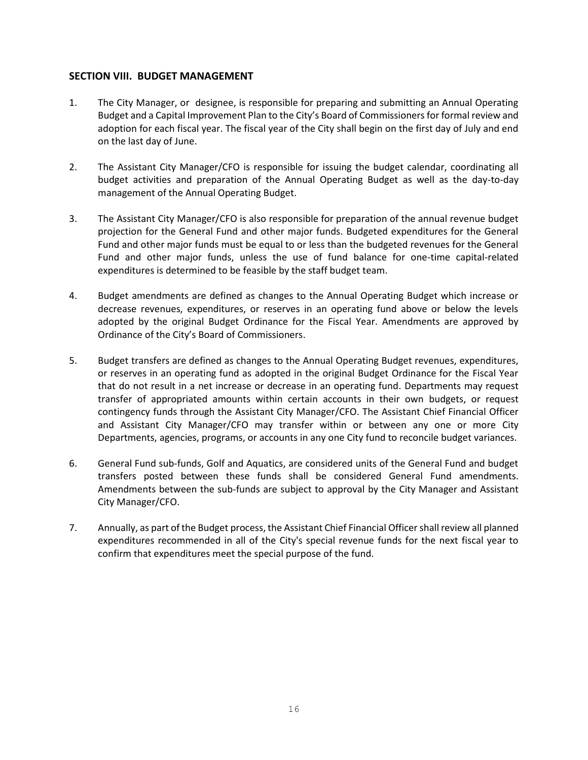#### **SECTION VIII. BUDGET MANAGEMENT**

- 1. The City Manager, or designee, is responsible for preparing and submitting an Annual Operating Budget and a Capital Improvement Plan to the City's Board of Commissionersfor formal review and adoption for each fiscal year. The fiscal year of the City shall begin on the first day of July and end on the last day of June.
- 2. The Assistant City Manager/CFO is responsible for issuing the budget calendar, coordinating all budget activities and preparation of the Annual Operating Budget as well as the day-to-day management of the Annual Operating Budget.
- 3. The Assistant City Manager/CFO is also responsible for preparation of the annual revenue budget projection for the General Fund and other major funds. Budgeted expenditures for the General Fund and other major funds must be equal to or less than the budgeted revenues for the General Fund and other major funds, unless the use of fund balance for one-time capital-related expenditures is determined to be feasible by the staff budget team.
- 4. Budget amendments are defined as changes to the Annual Operating Budget which increase or decrease revenues, expenditures, or reserves in an operating fund above or below the levels adopted by the original Budget Ordinance for the Fiscal Year. Amendments are approved by Ordinance of the City's Board of Commissioners.
- 5. Budget transfers are defined as changes to the Annual Operating Budget revenues, expenditures, or reserves in an operating fund as adopted in the original Budget Ordinance for the Fiscal Year that do not result in a net increase or decrease in an operating fund. Departments may request transfer of appropriated amounts within certain accounts in their own budgets, or request contingency funds through the Assistant City Manager/CFO. The Assistant Chief Financial Officer and Assistant City Manager/CFO may transfer within or between any one or more City Departments, agencies, programs, or accounts in any one City fund to reconcile budget variances.
- 6. General Fund sub-funds, Golf and Aquatics, are considered units of the General Fund and budget transfers posted between these funds shall be considered General Fund amendments. Amendments between the sub-funds are subject to approval by the City Manager and Assistant City Manager/CFO.
- 7. Annually, as part of the Budget process, the Assistant Chief Financial Officershall review all planned expenditures recommended in all of the City's special revenue funds for the next fiscal year to confirm that expenditures meet the special purpose of the fund.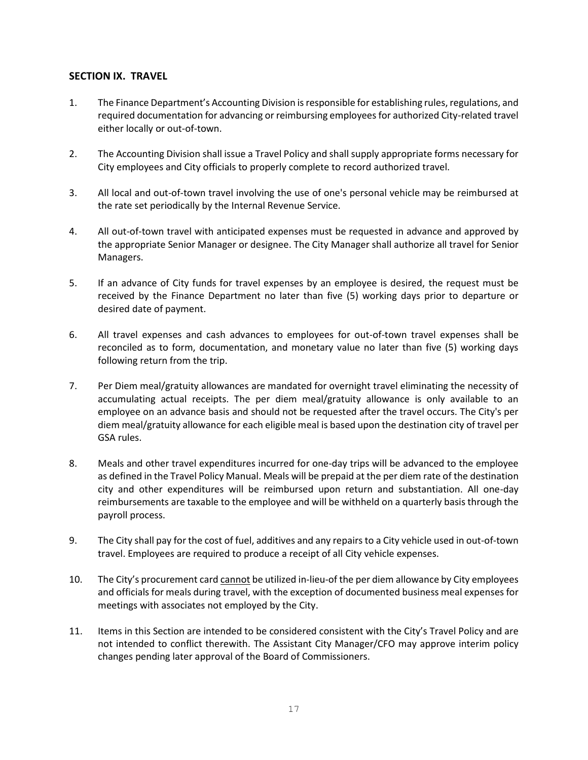#### **SECTION IX. TRAVEL**

- 1. The Finance Department's Accounting Division is responsible for establishing rules, regulations, and required documentation for advancing or reimbursing employees for authorized City-related travel either locally or out-of-town.
- 2. The Accounting Division shall issue a Travel Policy and shall supply appropriate forms necessary for City employees and City officials to properly complete to record authorized travel.
- 3. All local and out-of-town travel involving the use of one's personal vehicle may be reimbursed at the rate set periodically by the Internal Revenue Service.
- 4. All out-of-town travel with anticipated expenses must be requested in advance and approved by the appropriate Senior Manager or designee. The City Manager shall authorize all travel for Senior Managers.
- 5. If an advance of City funds for travel expenses by an employee is desired, the request must be received by the Finance Department no later than five (5) working days prior to departure or desired date of payment.
- 6. All travel expenses and cash advances to employees for out-of-town travel expenses shall be reconciled as to form, documentation, and monetary value no later than five (5) working days following return from the trip.
- 7. Per Diem meal/gratuity allowances are mandated for overnight travel eliminating the necessity of accumulating actual receipts. The per diem meal/gratuity allowance is only available to an employee on an advance basis and should not be requested after the travel occurs. The City's per diem meal/gratuity allowance for each eligible meal is based upon the destination city of travel per GSA rules.
- 8. Meals and other travel expenditures incurred for one-day trips will be advanced to the employee as defined in the Travel Policy Manual. Meals will be prepaid at the per diem rate of the destination city and other expenditures will be reimbursed upon return and substantiation. All one-day reimbursements are taxable to the employee and will be withheld on a quarterly basis through the payroll process.
- 9. The City shall pay for the cost of fuel, additives and any repairs to a City vehicle used in out-of-town travel. Employees are required to produce a receipt of all City vehicle expenses.
- 10. The City's procurement card cannot be utilized in-lieu-of the per diem allowance by City employees and officials for meals during travel, with the exception of documented business meal expenses for meetings with associates not employed by the City.
- 11. Items in this Section are intended to be considered consistent with the City's Travel Policy and are not intended to conflict therewith. The Assistant City Manager/CFO may approve interim policy changes pending later approval of the Board of Commissioners.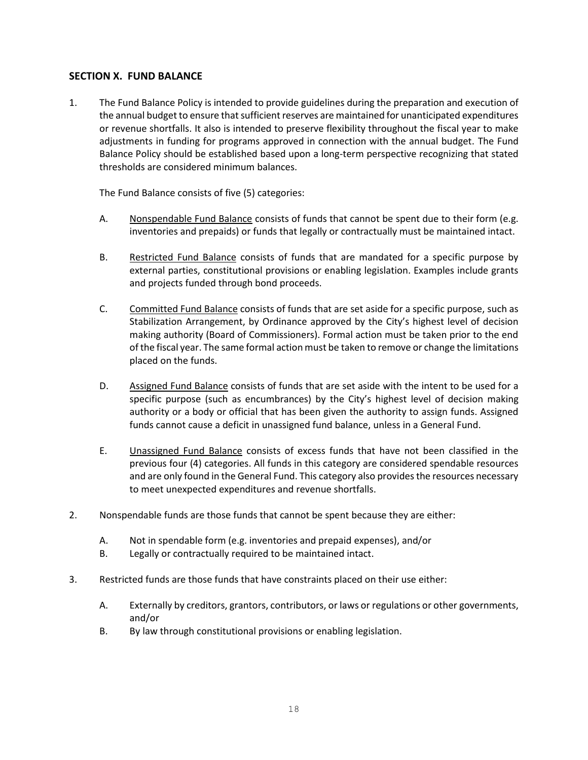#### **SECTION X. FUND BALANCE**

1. The Fund Balance Policy is intended to provide guidelines during the preparation and execution of the annual budget to ensure that sufficient reserves are maintained for unanticipated expenditures or revenue shortfalls. It also is intended to preserve flexibility throughout the fiscal year to make adjustments in funding for programs approved in connection with the annual budget. The Fund Balance Policy should be established based upon a long-term perspective recognizing that stated thresholds are considered minimum balances.

The Fund Balance consists of five (5) categories:

- A. Nonspendable Fund Balance consists of funds that cannot be spent due to their form (e.g. inventories and prepaids) or funds that legally or contractually must be maintained intact.
- B. Restricted Fund Balance consists of funds that are mandated for a specific purpose by external parties, constitutional provisions or enabling legislation. Examples include grants and projects funded through bond proceeds.
- C. Committed Fund Balance consists of funds that are set aside for a specific purpose, such as Stabilization Arrangement, by Ordinance approved by the City's highest level of decision making authority (Board of Commissioners). Formal action must be taken prior to the end of the fiscal year. The same formal action must be taken to remove or change the limitations placed on the funds.
- D. Assigned Fund Balance consists of funds that are set aside with the intent to be used for a specific purpose (such as encumbrances) by the City's highest level of decision making authority or a body or official that has been given the authority to assign funds. Assigned funds cannot cause a deficit in unassigned fund balance, unless in a General Fund.
- E. Unassigned Fund Balance consists of excess funds that have not been classified in the previous four (4) categories. All funds in this category are considered spendable resources and are only found in the General Fund. This category also provides the resources necessary to meet unexpected expenditures and revenue shortfalls.
- 2. Nonspendable funds are those funds that cannot be spent because they are either:
	- A. Not in spendable form (e.g. inventories and prepaid expenses), and/or
	- B. Legally or contractually required to be maintained intact.
- 3. Restricted funds are those funds that have constraints placed on their use either:
	- A. Externally by creditors, grantors, contributors, or laws or regulations or other governments, and/or
	- B. By law through constitutional provisions or enabling legislation.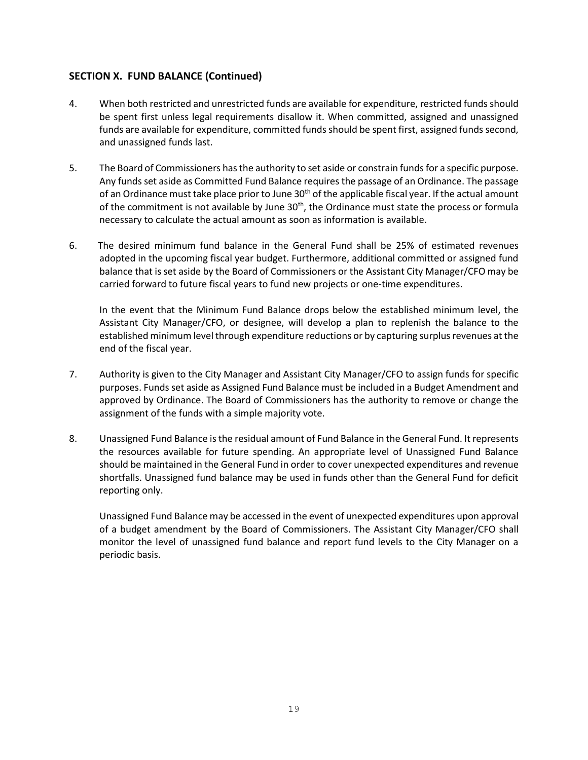#### **SECTION X. FUND BALANCE (Continued)**

- 4. When both restricted and unrestricted funds are available for expenditure, restricted funds should be spent first unless legal requirements disallow it. When committed, assigned and unassigned funds are available for expenditure, committed funds should be spent first, assigned funds second, and unassigned funds last.
- 5. The Board of Commissioners has the authority to set aside or constrain funds for a specific purpose. Any funds set aside as Committed Fund Balance requires the passage of an Ordinance. The passage of an Ordinance must take place prior to June  $30<sup>th</sup>$  of the applicable fiscal year. If the actual amount of the commitment is not available by June  $30<sup>th</sup>$ , the Ordinance must state the process or formula necessary to calculate the actual amount as soon as information is available.
- 6. The desired minimum fund balance in the General Fund shall be 25% of estimated revenues adopted in the upcoming fiscal year budget. Furthermore, additional committed or assigned fund balance that is set aside by the Board of Commissioners or the Assistant City Manager/CFO may be carried forward to future fiscal years to fund new projects or one-time expenditures.

In the event that the Minimum Fund Balance drops below the established minimum level, the Assistant City Manager/CFO, or designee, will develop a plan to replenish the balance to the established minimum level through expenditure reductions or by capturing surplus revenues at the end of the fiscal year.

- 7. Authority is given to the City Manager and Assistant City Manager/CFO to assign funds for specific purposes. Funds set aside as Assigned Fund Balance must be included in a Budget Amendment and approved by Ordinance. The Board of Commissioners has the authority to remove or change the assignment of the funds with a simple majority vote.
- 8. Unassigned Fund Balance is the residual amount of Fund Balance in the General Fund. It represents the resources available for future spending. An appropriate level of Unassigned Fund Balance should be maintained in the General Fund in order to cover unexpected expenditures and revenue shortfalls. Unassigned fund balance may be used in funds other than the General Fund for deficit reporting only.

Unassigned Fund Balance may be accessed in the event of unexpected expenditures upon approval of a budget amendment by the Board of Commissioners. The Assistant City Manager/CFO shall monitor the level of unassigned fund balance and report fund levels to the City Manager on a periodic basis.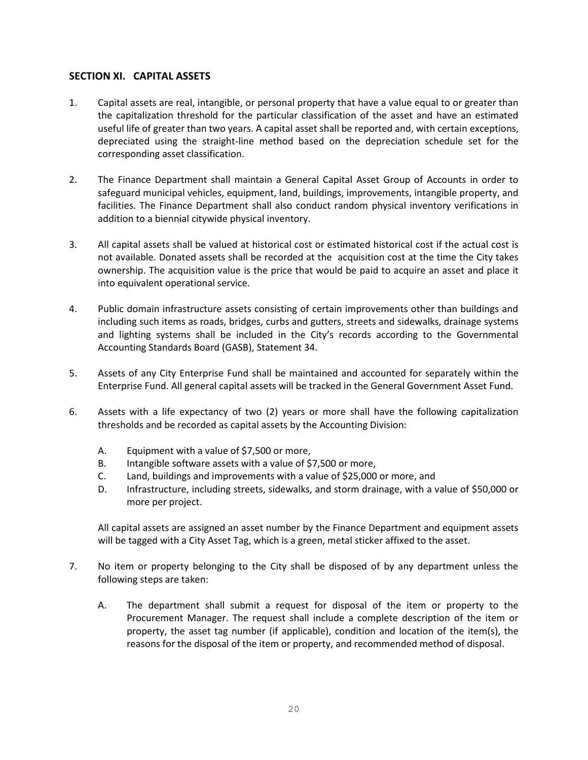#### **SECTION XI. CAPITAL ASSETS**

- 1. Capital assets are real, intangible, or personal property that have a value equal to or greater than the capitalization threshold for the particular classification of the asset and have an estimated useful life of greater than two years. A capital asset shall be reported and, with certain exceptions, depreciated using the straight-line method based on the depreciation schedule set for the corresponding asset classification.
- 2. The Finance Department shall maintain a General Capital Asset Group of Accounts in order to safeguard municipal vehicles, equipment, land, buildings, improvements, intangible property, and facilities. The Finance Department shall also conduct random physical inventory verifications in addition to a biennial citywide physical inventory.
- 3. All capital assets shall be valued at historical cost or estimated historical cost if the actual cost is not available. Donated assets shall be recorded at the acquisition cost at the time the City takes ownership. The acquisition value is the price that would be paid to acquire an asset and place it into equivalent operational service.
- 4. Public domain infrastructure assets consisting of certain improvements other than buildings and including such items as roads, bridges, curbs and gutters, streets and sidewalks, drainage systems and lighting systems shall be included in the City's records according to the Governmental Accounting Standards Board (GASB), Statement 34.
- 5. Assets of any City Enterprise Fund shall be maintained and accounted for separately within the Enterprise Fund. All general capital assets will be tracked in the General Government Asset Fund.
- 6. Assets with a life expectancy of two (2) years or more shall have the following capitalization thresholds and be recorded as capital assets by the Accounting Division:
	- A. Equipment with a value of \$7,500 or more,
	- B. Intangible software assets with a value of \$7,500 or more,
	- C. Land, buildings and improvements with a value of \$25,000 or more, and
	- D. Infrastructure, including streets, sidewalks, and storm drainage, with a value of \$50,000 or more per project.

All capital assets are assigned an asset number by the Finance Department and equipment assets will be tagged with a City Asset Tag, which is a green, metal sticker affixed to the asset.

- 7. No item or property belonging to the City shall be disposed of by any department unless the following steps are taken:
	- A. The department shall submit a request for disposal of the item or property to the Procurement Manager. The request shall include a complete description of the item or property, the asset tag number (if applicable), condition and location of the item(s), the reasons for the disposal of the item or property, and recommended method of disposal.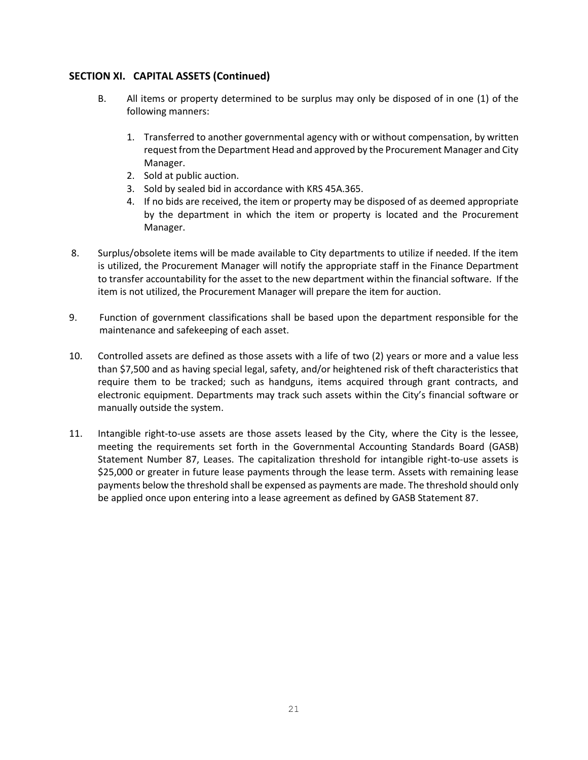#### **SECTION XI. CAPITAL ASSETS (Continued)**

- B. All items or property determined to be surplus may only be disposed of in one (1) of the following manners:
	- 1. Transferred to another governmental agency with or without compensation, by written request from the Department Head and approved by the Procurement Manager and City Manager.
	- 2. Sold at public auction.
	- 3. Sold by sealed bid in accordance with KRS 45A.365.
	- 4. If no bids are received, the item or property may be disposed of as deemed appropriate by the department in which the item or property is located and the Procurement Manager.
- 8. Surplus/obsolete items will be made available to City departments to utilize if needed. If the item is utilized, the Procurement Manager will notify the appropriate staff in the Finance Department to transfer accountability for the asset to the new department within the financial software. If the item is not utilized, the Procurement Manager will prepare the item for auction.
- 9. Function of government classifications shall be based upon the department responsible for the maintenance and safekeeping of each asset.
- 10. Controlled assets are defined as those assets with a life of two (2) years or more and a value less than \$7,500 and as having special legal, safety, and/or heightened risk of theft characteristics that require them to be tracked; such as handguns, items acquired through grant contracts, and electronic equipment. Departments may track such assets within the City's financial software or manually outside the system.
- 11. Intangible right-to-use assets are those assets leased by the City, where the City is the lessee, meeting the requirements set forth in the Governmental Accounting Standards Board (GASB) Statement Number 87, Leases. The capitalization threshold for intangible right-to-use assets is \$25,000 or greater in future lease payments through the lease term. Assets with remaining lease payments below the threshold shall be expensed as payments are made. The threshold should only be applied once upon entering into a lease agreement as defined by GASB Statement 87.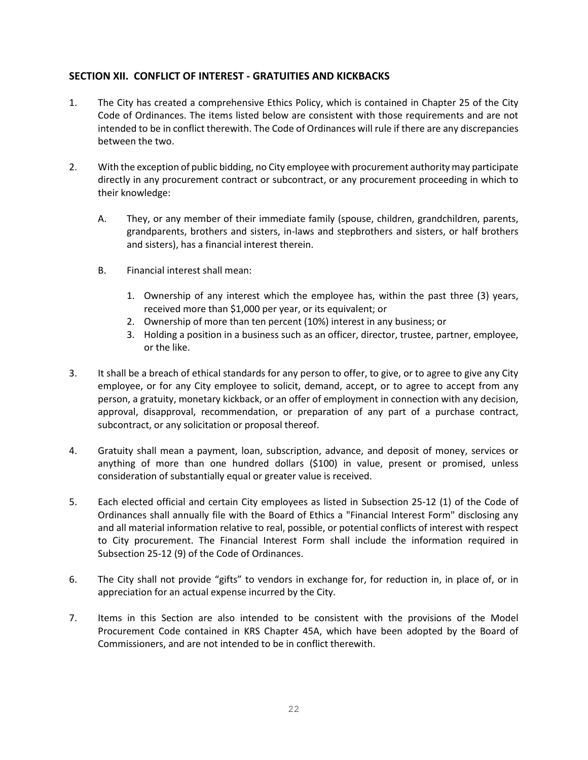#### **SECTION XII. CONFLICT OF INTEREST - GRATUITIES AND KICKBACKS**

- 1. The City has created a comprehensive Ethics Policy, which is contained in Chapter 25 of the City Code of Ordinances. The items listed below are consistent with those requirements and are not intended to be in conflict therewith. The Code of Ordinances will rule if there are any discrepancies between the two.
- 2. With the exception of public bidding, no City employee with procurement authority may participate directly in any procurement contract or subcontract, or any procurement proceeding in which to their knowledge:
	- A. They, or any member of their immediate family (spouse, children, grandchildren, parents, grandparents, brothers and sisters, in-laws and stepbrothers and sisters, or half brothers and sisters), has a financial interest therein.
	- B. Financial interest shall mean:
		- 1. Ownership of any interest which the employee has, within the past three (3) years, received more than \$1,000 per year, or its equivalent; or
		- 2. Ownership of more than ten percent (10%) interest in any business; or
		- 3. Holding a position in a business such as an officer, director, trustee, partner, employee, or the like.
- 3. It shall be a breach of ethical standards for any person to offer, to give, or to agree to give any City employee, or for any City employee to solicit, demand, accept, or to agree to accept from any person, a gratuity, monetary kickback, or an offer of employment in connection with any decision, approval, disapproval, recommendation, or preparation of any part of a purchase contract, subcontract, or any solicitation or proposal thereof.
- 4. Gratuity shall mean a payment, loan, subscription, advance, and deposit of money, services or anything of more than one hundred dollars (\$100) in value, present or promised, unless consideration of substantially equal or greater value is received.
- 5. Each elected official and certain City employees as listed in Subsection 25-12 (1) of the Code of Ordinances shall annually file with the Board of Ethics a "Financial Interest Form" disclosing any and all material information relative to real, possible, or potential conflicts of interest with respect to City procurement. The Financial Interest Form shall include the information required in Subsection 25-12 (9) of the Code of Ordinances.
- 6. The City shall not provide "gifts" to vendors in exchange for, for reduction in, in place of, or in appreciation for an actual expense incurred by the City.
- 7. Items in this Section are also intended to be consistent with the provisions of the Model Procurement Code contained in KRS Chapter 45A, which have been adopted by the Board of Commissioners, and are not intended to be in conflict therewith.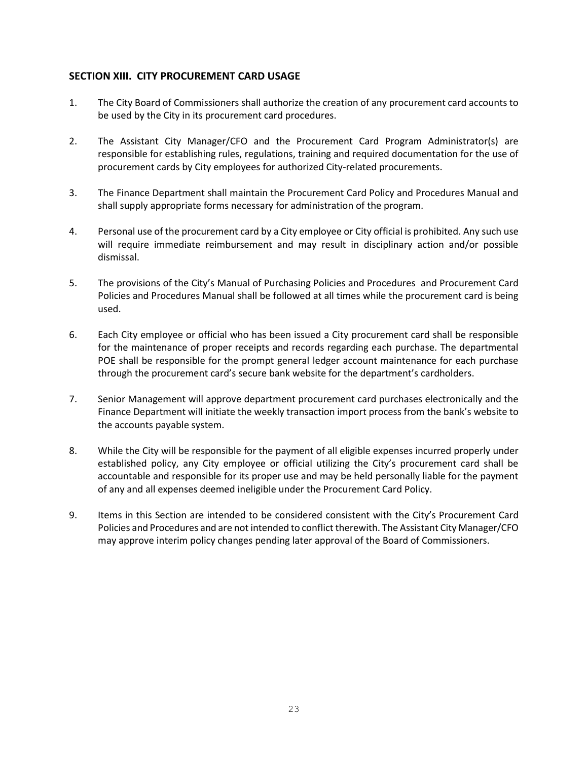#### **SECTION XIII. CITY PROCUREMENT CARD USAGE**

- 1. The City Board of Commissioners shall authorize the creation of any procurement card accounts to be used by the City in its procurement card procedures.
- 2. The Assistant City Manager/CFO and the Procurement Card Program Administrator(s) are responsible for establishing rules, regulations, training and required documentation for the use of procurement cards by City employees for authorized City-related procurements.
- 3. The Finance Department shall maintain the Procurement Card Policy and Procedures Manual and shall supply appropriate forms necessary for administration of the program.
- 4. Personal use of the procurement card by a City employee or City official is prohibited. Any such use will require immediate reimbursement and may result in disciplinary action and/or possible dismissal.
- 5. The provisions of the City's Manual of Purchasing Policies and Procedures and Procurement Card Policies and Procedures Manual shall be followed at all times while the procurement card is being used.
- 6. Each City employee or official who has been issued a City procurement card shall be responsible for the maintenance of proper receipts and records regarding each purchase. The departmental POE shall be responsible for the prompt general ledger account maintenance for each purchase through the procurement card's secure bank website for the department's cardholders.
- 7. Senior Management will approve department procurement card purchases electronically and the Finance Department will initiate the weekly transaction import process from the bank's website to the accounts payable system.
- 8. While the City will be responsible for the payment of all eligible expenses incurred properly under established policy, any City employee or official utilizing the City's procurement card shall be accountable and responsible for its proper use and may be held personally liable for the payment of any and all expenses deemed ineligible under the Procurement Card Policy.
- 9. Items in this Section are intended to be considered consistent with the City's Procurement Card Policies and Procedures and are not intended to conflict therewith. The Assistant City Manager/CFO may approve interim policy changes pending later approval of the Board of Commissioners.